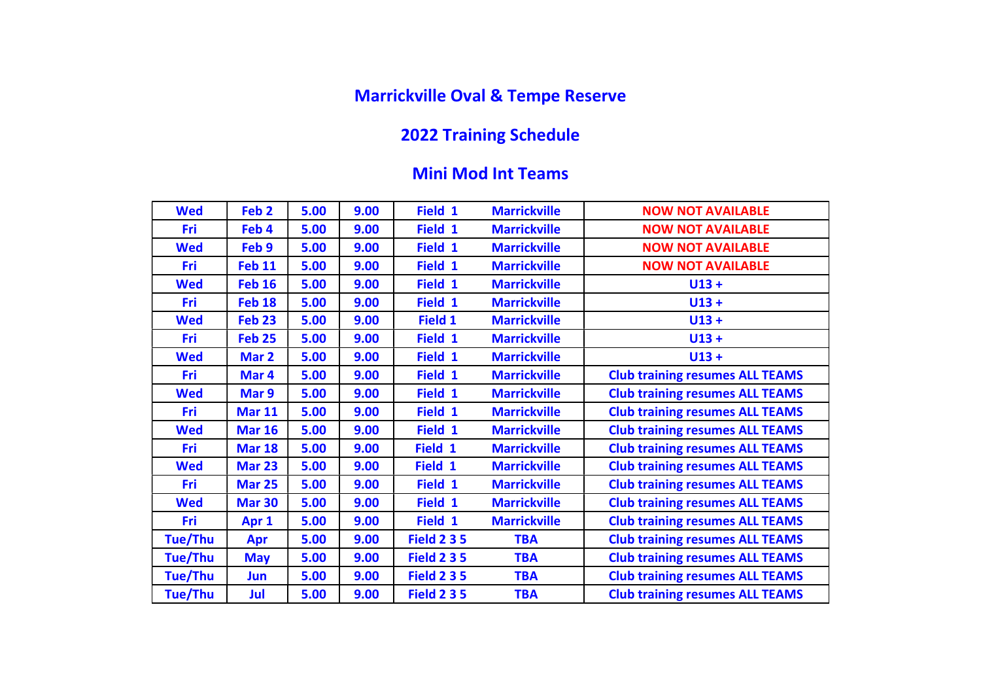## Marrickville Oval & Tempe Reserve

## 2022 Training Schedule

## Mini Mod Int Teams

| <b>Wed</b> | Feb <sub>2</sub> | 5.00 | 9.00 | Field 1            | <b>Marrickville</b> | <b>NOW NOT AVAILABLE</b>               |
|------------|------------------|------|------|--------------------|---------------------|----------------------------------------|
| <b>Fri</b> | Feb 4            | 5.00 | 9.00 | Field 1            | <b>Marrickville</b> | <b>NOW NOT AVAILABLE</b>               |
| <b>Wed</b> | Feb 9            | 5.00 | 9.00 | Field 1            | <b>Marrickville</b> | <b>NOW NOT AVAILABLE</b>               |
| <b>Fri</b> | <b>Feb 11</b>    | 5.00 | 9.00 | Field 1            | <b>Marrickville</b> | <b>NOW NOT AVAILABLE</b>               |
| <b>Wed</b> | <b>Feb 16</b>    | 5.00 | 9.00 | Field 1            | <b>Marrickville</b> | $U13 +$                                |
| Fri        | <b>Feb 18</b>    | 5.00 | 9.00 | Field 1            | <b>Marrickville</b> | $U13 +$                                |
| <b>Wed</b> | <b>Feb 23</b>    | 5.00 | 9.00 | Field 1            | <b>Marrickville</b> | $U13 +$                                |
| <b>Fri</b> | <b>Feb 25</b>    | 5.00 | 9.00 | Field 1            | <b>Marrickville</b> | $U13 +$                                |
| <b>Wed</b> | Mar 2            | 5.00 | 9.00 | Field 1            | <b>Marrickville</b> | $U13 +$                                |
| Fri        | Mar 4            | 5.00 | 9.00 | Field 1            | <b>Marrickville</b> | <b>Club training resumes ALL TEAMS</b> |
| <b>Wed</b> | Mar 9            | 5.00 | 9.00 | Field 1            | <b>Marrickville</b> | <b>Club training resumes ALL TEAMS</b> |
| <b>Fri</b> | <b>Mar 11</b>    | 5.00 | 9.00 | Field 1            | <b>Marrickville</b> | <b>Club training resumes ALL TEAMS</b> |
| <b>Wed</b> | <b>Mar 16</b>    | 5.00 | 9.00 | Field 1            | <b>Marrickville</b> | <b>Club training resumes ALL TEAMS</b> |
| Fri        | <b>Mar 18</b>    | 5.00 | 9.00 | Field 1            | <b>Marrickville</b> | <b>Club training resumes ALL TEAMS</b> |
| <b>Wed</b> | <b>Mar 23</b>    | 5.00 | 9.00 | Field 1            | <b>Marrickville</b> | <b>Club training resumes ALL TEAMS</b> |
| Fri        | <b>Mar 25</b>    | 5.00 | 9.00 | Field 1            | <b>Marrickville</b> | <b>Club training resumes ALL TEAMS</b> |
| <b>Wed</b> | <b>Mar 30</b>    | 5.00 | 9.00 | Field 1            | <b>Marrickville</b> | <b>Club training resumes ALL TEAMS</b> |
| Fri        | Apr 1            | 5.00 | 9.00 | Field 1            | <b>Marrickville</b> | <b>Club training resumes ALL TEAMS</b> |
| Tue/Thu    | Apr              | 5.00 | 9.00 | <b>Field 2 3 5</b> | <b>TBA</b>          | <b>Club training resumes ALL TEAMS</b> |
| Tue/Thu    | <b>May</b>       | 5.00 | 9.00 | <b>Field 2 3 5</b> | <b>TBA</b>          | <b>Club training resumes ALL TEAMS</b> |
| Tue/Thu    | Jun              | 5.00 | 9.00 | <b>Field 2 3 5</b> | <b>TBA</b>          | <b>Club training resumes ALL TEAMS</b> |
| Tue/Thu    | Jul              | 5.00 | 9.00 | <b>Field 2 3 5</b> | <b>TBA</b>          | <b>Club training resumes ALL TEAMS</b> |